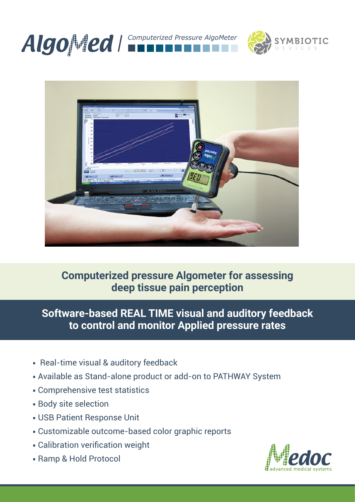





### **Computerized pressure Algometer for assessing deep tissue pain perception**

**Software-based REAL TIME visual and auditory feedback to control and monitor Applied pressure rates**

- Real-time visual & auditory feedback
- Available as Stand-alone product or add-on to PATHWAY System
- Comprehensive test statistics
- Body site selection
- USB Patient Response Unit
- Customizable outcome-based color graphic reports
- Calibration verification weight
- Ramp & Hold Protocol